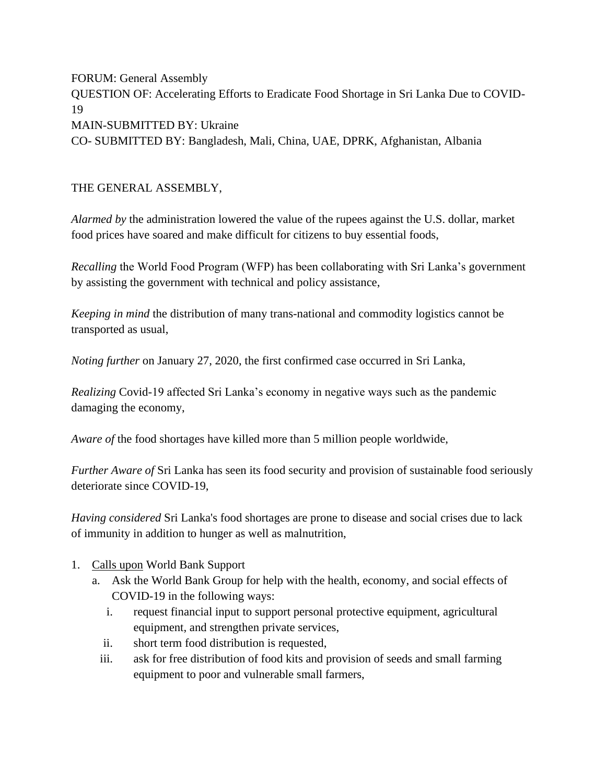FORUM: General Assembly QUESTION OF: Accelerating Efforts to Eradicate Food Shortage in Sri Lanka Due to COVID-19 MAIN-SUBMITTED BY: Ukraine CO- SUBMITTED BY: Bangladesh, Mali, China, UAE, DPRK, Afghanistan, Albania

## THE GENERAL ASSEMBLY,

*Alarmed by* the administration lowered the value of the rupees against the U.S. dollar, market food prices have soared and make difficult for citizens to buy essential foods,

*Recalling* the World Food Program (WFP) has been collaborating with Sri Lanka's government by assisting the government with technical and policy assistance,

*Keeping in mind* the distribution of many trans-national and commodity logistics cannot be transported as usual,

*Noting further* on January 27, 2020, the first confirmed case occurred in Sri Lanka,

*Realizing* Covid-19 affected Sri Lanka's economy in negative ways such as the pandemic damaging the economy,

*Aware of* the food shortages have killed more than 5 million people worldwide,

*Further Aware of* Sri Lanka has seen its food security and provision of sustainable food seriously deteriorate since COVID-19,

*Having considered* Sri Lanka's food shortages are prone to disease and social crises due to lack of immunity in addition to hunger as well as malnutrition,

- 1. Calls upon World Bank Support
	- a. Ask the World Bank Group for help with the health, economy, and social effects of COVID-19 in the following ways:
		- i. request financial input to support personal protective equipment, agricultural equipment, and strengthen private services,
		- ii. short term food distribution is requested,
		- iii. ask for free distribution of food kits and provision of seeds and small farming equipment to poor and vulnerable small farmers,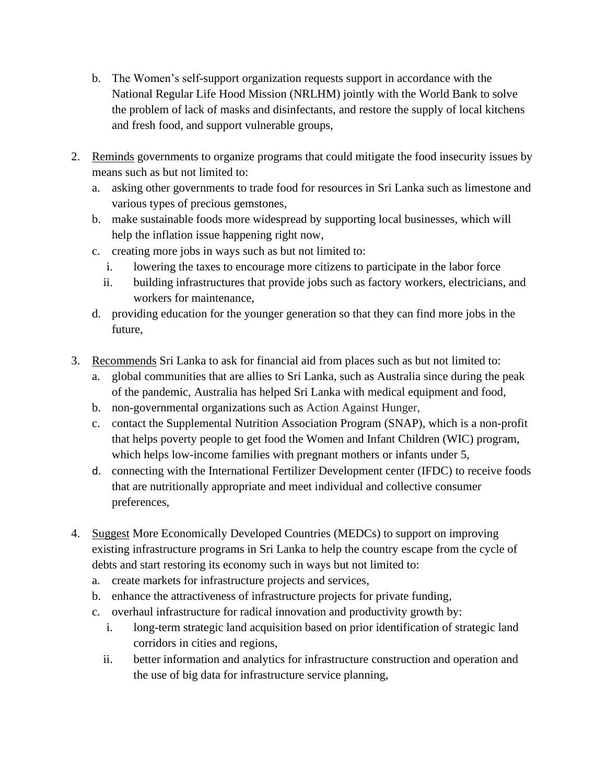- b. The Women's self-support organization requests support in accordance with the National Regular Life Hood Mission (NRLHM) jointly with the World Bank to solve the problem of lack of masks and disinfectants, and restore the supply of local kitchens and fresh food, and support vulnerable groups,
- 2. Reminds governments to organize programs that could mitigate the food insecurity issues by means such as but not limited to:
	- a. asking other governments to trade food for resources in Sri Lanka such as limestone and various types of precious gemstones,
	- b. make sustainable foods more widespread by supporting local businesses, which will help the inflation issue happening right now,
	- c. creating more jobs in ways such as but not limited to:
		- i. lowering the taxes to encourage more citizens to participate in the labor force
		- ii. building infrastructures that provide jobs such as factory workers, electricians, and workers for maintenance,
	- d. providing education for the younger generation so that they can find more jobs in the future,
- 3. Recommends Sri Lanka to ask for financial aid from places such as but not limited to:
	- a. global communities that are allies to Sri Lanka, such as Australia since during the peak of the pandemic, Australia has helped Sri Lanka with medical equipment and food,
	- b. non-governmental organizations such as Action Against Hunger,
	- c. contact the Supplemental Nutrition Association Program (SNAP), which is a non-profit that helps poverty people to get food the Women and Infant Children (WIC) program, which helps low-income families with pregnant mothers or infants under 5,
	- d. connecting with the International Fertilizer Development center (IFDC) to receive foods that are nutritionally appropriate and meet individual and collective consumer preferences,
- 4. Suggest More Economically Developed Countries (MEDCs) to support on improving existing infrastructure programs in Sri Lanka to help the country escape from the cycle of debts and start restoring its economy such in ways but not limited to:
	- a. create markets for infrastructure projects and services,
	- b. enhance the attractiveness of infrastructure projects for private funding,
	- c. overhaul infrastructure for radical innovation and productivity growth by:
		- i. long-term strategic land acquisition based on prior identification of strategic land corridors in cities and regions,
		- ii. better information and analytics for infrastructure construction and operation and the use of big data for infrastructure service planning,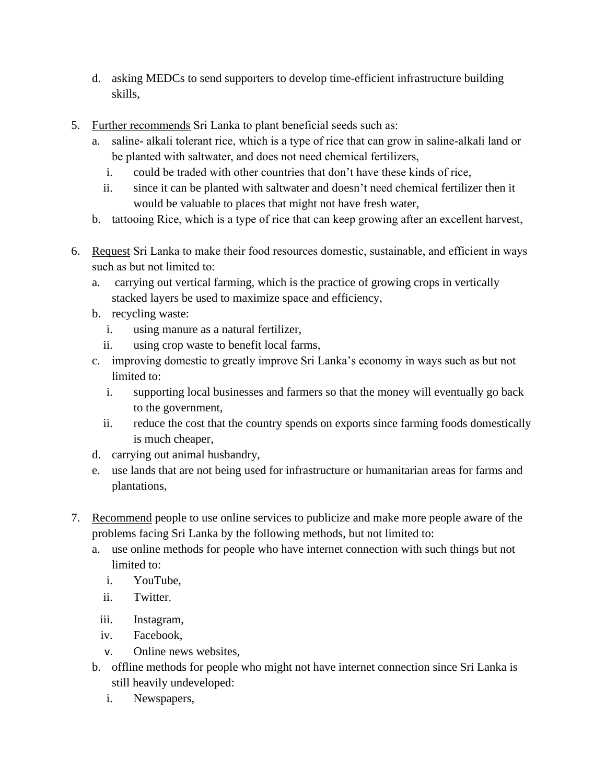- d. asking MEDCs to send supporters to develop time-efficient infrastructure building skills,
- 5. Further recommends Sri Lanka to plant beneficial seeds such as:
	- a. saline- alkali tolerant rice, which is a type of rice that can grow in saline-alkali land or be planted with saltwater, and does not need chemical fertilizers,
		- i. could be traded with other countries that don't have these kinds of rice,
		- ii. since it can be planted with saltwater and doesn't need chemical fertilizer then it would be valuable to places that might not have fresh water,
	- b. tattooing Rice, which is a type of rice that can keep growing after an excellent harvest,
- 6. Request Sri Lanka to make their food resources domestic, sustainable, and efficient in ways such as but not limited to:
	- a. carrying out vertical farming, which is the practice of growing crops in vertically stacked layers be used to maximize space and efficiency,
	- b. recycling waste:
		- i. using manure as a natural fertilizer,
		- ii. using crop waste to benefit local farms,
	- c. improving domestic to greatly improve Sri Lanka's economy in ways such as but not limited to:
		- i. supporting local businesses and farmers so that the money will eventually go back to the government,
		- ii. reduce the cost that the country spends on exports since farming foods domestically is much cheaper,
	- d. carrying out animal husbandry,
	- e. use lands that are not being used for infrastructure or humanitarian areas for farms and plantations,
- 7. Recommend people to use online services to publicize and make more people aware of the problems facing Sri Lanka by the following methods, but not limited to:
	- a. use online methods for people who have internet connection with such things but not limited to:
		- i. YouTube,
		- ii. Twitter,
		- iii. Instagram,
		- iv. Facebook,
		- v. Online news websites,
	- b. offline methods for people who might not have internet connection since Sri Lanka is still heavily undeveloped:
		- i. Newspapers,